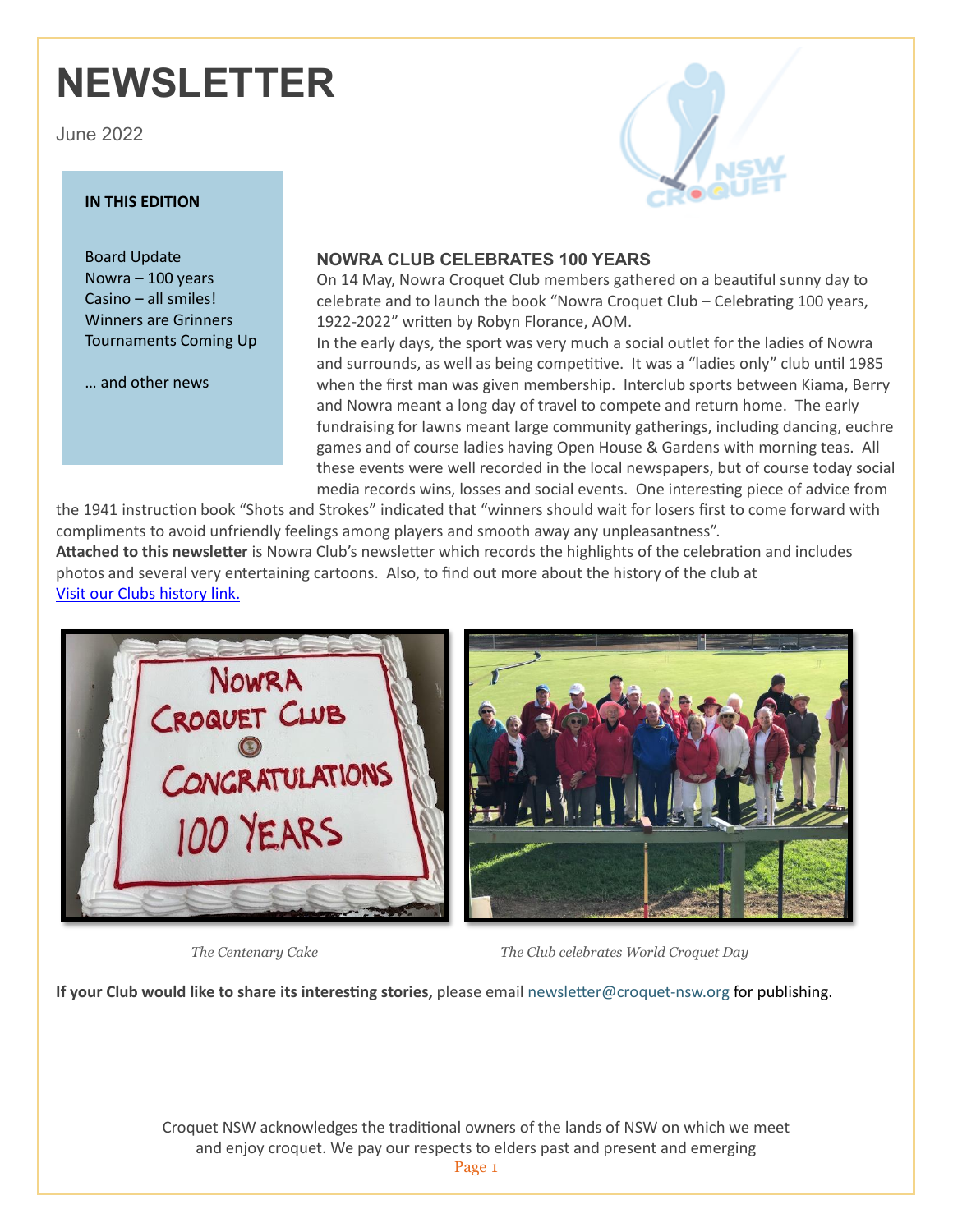# **NEWSLETTER**

June 2022

#### **IN THIS EDITION**

Board Update Nowra – 100 years Casino – all smiles! Winners are Grinners Tournaments Coming Up

… and other news



#### **NOWRA CLUB CELEBRATES 100 YEARS**

On 14 May, Nowra Croquet Club members gathered on a beautiful sunny day to celebrate and to launch the book "Nowra Croquet Club – Celebrating 100 years, 1922-2022" written by Robyn Florance, AOM.

In the early days, the sport was very much a social outlet for the ladies of Nowra and surrounds, as well as being competitive. It was a "ladies only" club until 1985 when the first man was given membership. Interclub sports between Kiama, Berry and Nowra meant a long day of travel to compete and return home. The early fundraising for lawns meant large community gatherings, including dancing, euchre games and of course ladies having Open House & Gardens with morning teas. All these events were well recorded in the local newspapers, but of course today social media records wins, losses and social events. One interesting piece of advice from

the 1941 instruction book "Shots and Strokes" indicated that "winners should wait for losers first to come forward with compliments to avoid unfriendly feelings among players and smooth away any unpleasantness". **Attached to this newsletter** is Nowra Club's newsletter which records the highlights of the celebration and includes photos and several very entertaining cartoons. Also, to find out more about the history of the club at [Visit our Clubs history link.](https://croquet-nsw.org/club/history/ncc.html)





 *The Centenary Cake The Club celebrates World Croquet Day*

**If your Club would like to share its interesting stories,** please email [newsletter@croquet-nsw.org](file:///C:/Users/kmcl1/AppData/Local/Packages/microsoft.windowscommunicationsapps_8wekyb3d8bbwe/LocalState/Files/S0/2979/Attachments/newsletter@croquet-nsw.org) for publishing.

Croquet NSW acknowledges the traditional owners of the lands of NSW on which we meet and enjoy croquet. We pay our respects to elders past and present and emerging Page 1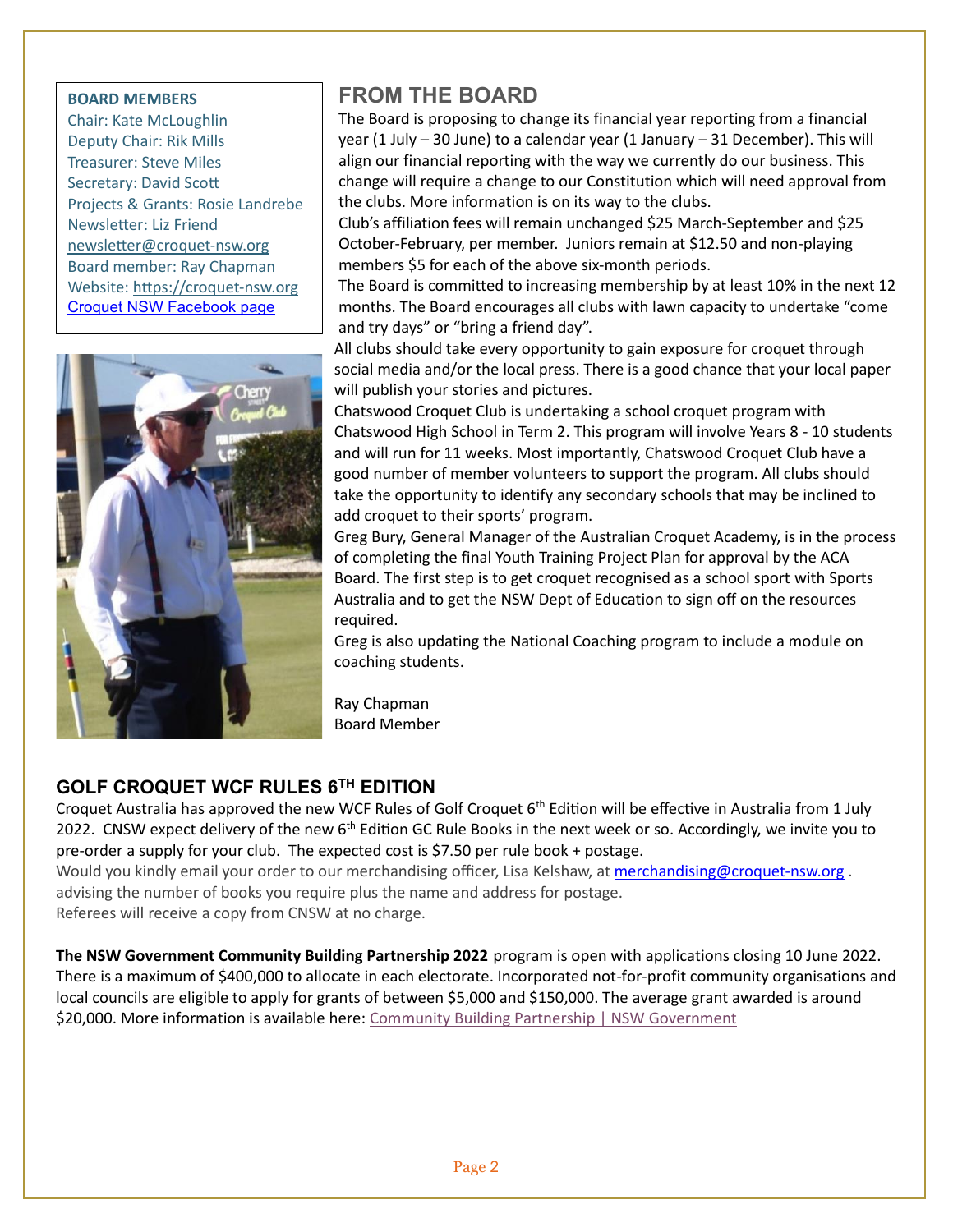#### **BOARD MEMBERS**

Chair: Kate McLoughlin Deputy Chair: Rik Mills Treasurer: Steve Miles Secretary: David Scott Projects & Grants: Rosie Landrebe Newsletter: Liz Friend [newsletter@croquet-nsw.org](file:///C:/Users/kmcl1/AppData/Local/Packages/microsoft.windowscommunicationsapps_8wekyb3d8bbwe/LocalState/Files/S0/2979/Attachments/newsletter@croquet-nsw.org) Board member: Ray Chapman Website: [https://croquet-nsw.org](https://croquet-nsw.org/) [Croquet NSW Facebook page](https://www.facebook.com/groups/204121004882119/)



# **FROM THE BOARD**

The Board is proposing to change its financial year reporting from a financial year (1 July – 30 June) to a calendar year (1 January – 31 December). This will align our financial reporting with the way we currently do our business. This change will require a change to our Constitution which will need approval from the clubs. More information is on its way to the clubs.

Club's affiliation fees will remain unchanged \$25 March-September and \$25 October-February, per member. Juniors remain at \$12.50 and non-playing members \$5 for each of the above six-month periods.

The Board is committed to increasing membership by at least 10% in the next 12 months. The Board encourages all clubs with lawn capacity to undertake "come and try days" or "bring a friend day".

All clubs should take every opportunity to gain exposure for croquet through social media and/or the local press. There is a good chance that your local paper will publish your stories and pictures.

Chatswood Croquet Club is undertaking a school croquet program with Chatswood High School in Term 2. This program will involve Years 8 - 10 students and will run for 11 weeks. Most importantly, Chatswood Croquet Club have a good number of member volunteers to support the program. All clubs should take the opportunity to identify any secondary schools that may be inclined to add croquet to their sports' program.

Greg Bury, General Manager of the Australian Croquet Academy, is in the process of completing the final Youth Training Project Plan for approval by the ACA Board. The first step is to get croquet recognised as a school sport with Sports Australia and to get the NSW Dept of Education to sign off on the resources required.

Greg is also updating the National Coaching program to include a module on coaching students.

Ray Chapman Board Member

### **GOLF CROQUET WCF RULES 6TH EDITION**

Croquet Australia has approved the new WCF Rules of Golf Croquet  $6<sup>th</sup>$  Edition will be effective in Australia from 1 July 2022. CNSW expect delivery of the new 6<sup>th</sup> Edition GC Rule Books in the next week or so. Accordingly, we invite you to pre-order a supply for your club. The expected cost is \$7.50 per rule book + postage.

Would you kindly email your order to our merchandising officer, Lisa Kelshaw, a[t merchandising@croquet-nsw.org](mailto:merchandising@croquet-nsw.org). advising the number of books you require plus the name and address for postage. Referees will receive a copy from CNSW at no charge.

**The NSW Government Community Building Partnership 2022** program is open with applications closing 10 June 2022. There is a maximum of \$400,000 to allocate in each electorate. Incorporated not-for-profit community organisations and local councils are eligible to apply for grants of between \$5,000 and \$150,000. The average grant awarded is around \$20,000. More information is available here[: Community Building Partnership | NSW Government](https://www.nsw.gov.au/projects/community-building-partnership)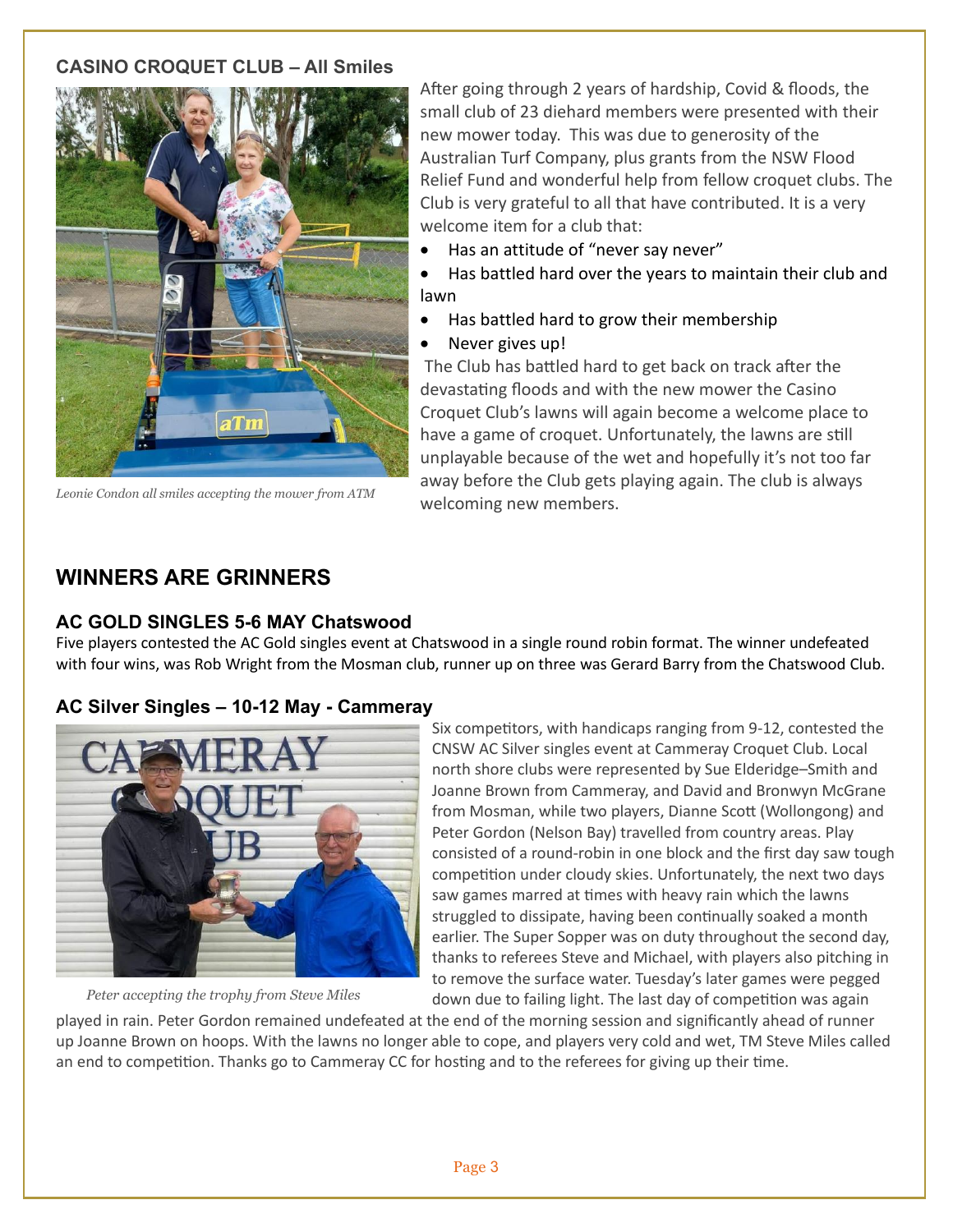#### **CASINO CROQUET CLUB – All Smiles**



*Leonie Condon all smiles accepting the mower from ATM*

After going through 2 years of hardship, Covid & floods, the small club of 23 diehard members were presented with their new mower today. This was due to generosity of the Australian Turf Company, plus grants from the NSW Flood Relief Fund and wonderful help from fellow croquet clubs. The Club is very grateful to all that have contributed. It is a very welcome item for a club that:

- Has an attitude of "never say never"
- Has battled hard over the years to maintain their club and lawn
- Has battled hard to grow their membership
- Never gives up!

The Club has battled hard to get back on track after the devastating floods and with the new mower the Casino Croquet Club's lawns will again become a welcome place to have a game of croquet. Unfortunately, the lawns are still unplayable because of the wet and hopefully it's not too far away before the Club gets playing again. The club is always welcoming new members.

## **WINNERS ARE GRINNERS**

#### **AC GOLD SINGLES 5-6 MAY Chatswood**

Five players contested the AC Gold singles event at Chatswood in a single round robin format. The winner undefeated with four wins, was Rob Wright from the Mosman club, runner up on three was Gerard Barry from the Chatswood Club.

#### **AC Silver Singles – 10-12 May - Cammeray**

 *Peter accepting the trophy from Steve Miles*

Six competitors, with handicaps ranging from 9-12, contested the CNSW AC Silver singles event at Cammeray Croquet Club. Local north shore clubs were represented by Sue Elderidge–Smith and Joanne Brown from Cammeray, and David and Bronwyn McGrane from Mosman, while two players, Dianne Scott (Wollongong) and Peter Gordon (Nelson Bay) travelled from country areas. Play consisted of a round-robin in one block and the first day saw tough competition under cloudy skies. Unfortunately, the next two days saw games marred at times with heavy rain which the lawns struggled to dissipate, having been continually soaked a month earlier. The Super Sopper was on duty throughout the second day, thanks to referees Steve and Michael, with players also pitching in to remove the surface water. Tuesday's later games were pegged down due to failing light. The last day of competition was again

played in rain. Peter Gordon remained undefeated at the end of the morning session and significantly ahead of runner up Joanne Brown on hoops. With the lawns no longer able to cope, and players very cold and wet, TM Steve Miles called an end to competition. Thanks go to Cammeray CC for hosting and to the referees for giving up their time.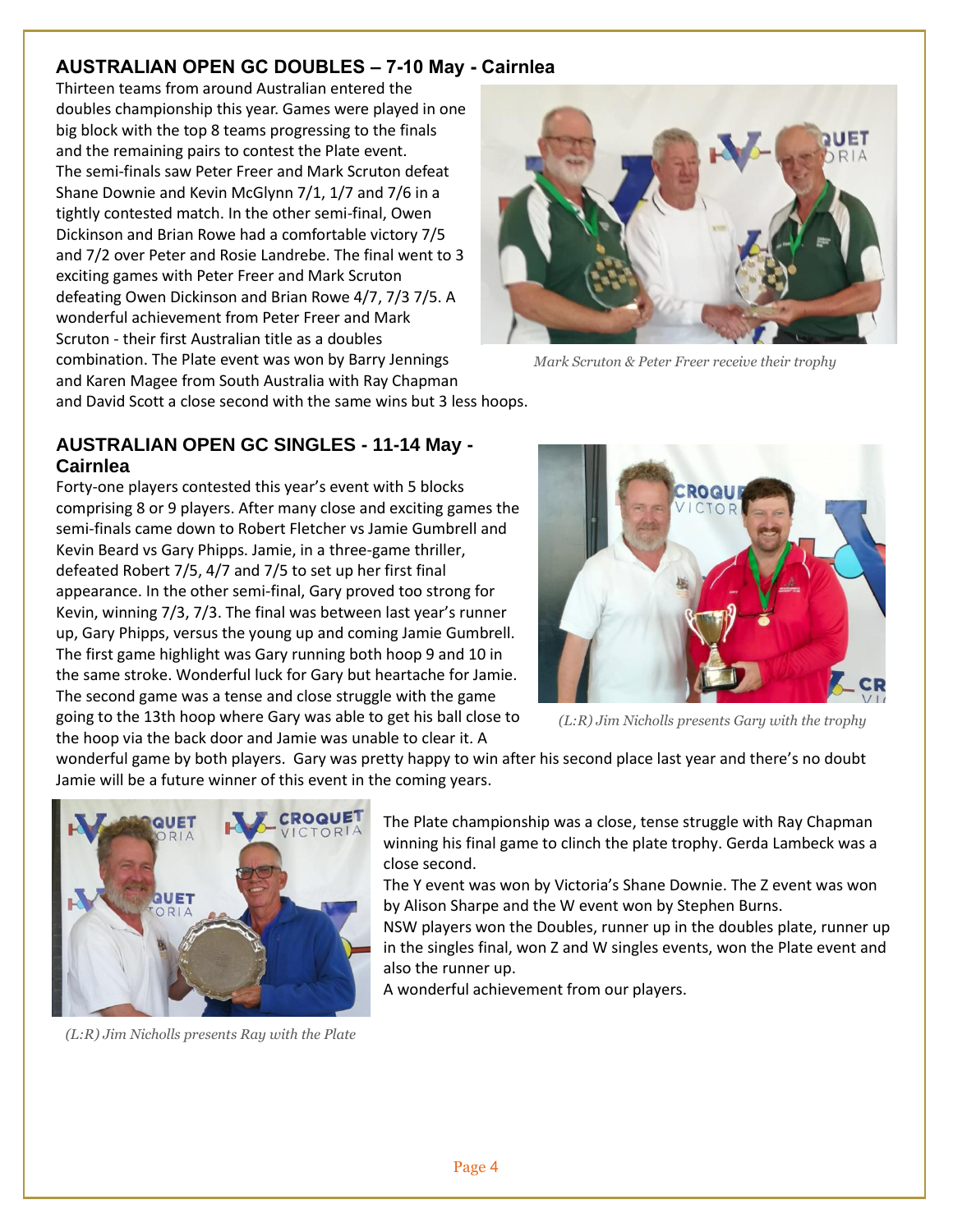#### **AUSTRALIAN OPEN GC DOUBLES – 7-10 May - Cairnlea**

Thirteen teams from around Australian entered the doubles championship this year. Games were played in one big block with the top 8 teams progressing to the finals and the remaining pairs to contest the Plate event. The semi-finals saw Peter Freer and Mark Scruton defeat Shane Downie and Kevin McGlynn 7/1, 1/7 and 7/6 in a tightly contested match. In the other semi-final, Owen Dickinson and Brian Rowe had a comfortable victory 7/5 and 7/2 over Peter and Rosie Landrebe. The final went to 3 exciting games with Peter Freer and Mark Scruton defeating Owen Dickinson and Brian Rowe 4/7, 7/3 7/5. A wonderful achievement from Peter Freer and Mark Scruton - their first Australian title as a doubles combination. The Plate event was won by Barry Jennings and Karen Magee from South Australia with Ray Chapman and David Scott a close second with the same wins but 3 less hoops.



 *Mark Scruton & Peter Freer receive their trophy*

#### **AUSTRALIAN OPEN GC SINGLES - 11-14 May - Cairnlea**

Forty-one players contested this year's event with 5 blocks comprising 8 or 9 players. After many close and exciting games the semi-finals came down to Robert Fletcher vs Jamie Gumbrell and Kevin Beard vs Gary Phipps. Jamie, in a three-game thriller, defeated Robert 7/5, 4/7 and 7/5 to set up her first final appearance. In the other semi-final, Gary proved too strong for Kevin, winning 7/3, 7/3. The final was between last year's runner up, Gary Phipps, versus the young up and coming Jamie Gumbrell. The first game highlight was Gary running both hoop 9 and 10 in the same stroke. Wonderful luck for Gary but heartache for Jamie. The second game was a tense and close struggle with the game going to the 13th hoop where Gary was able to get his ball close to the hoop via the back door and Jamie was unable to clear it. A



 *(L:R) Jim Nicholls presents Gary with the trophy*

wonderful game by both players. Gary was pretty happy to win after his second place last year and there's no doubt Jamie will be a future winner of this event in the coming years.



The Plate championship was a close, tense struggle with Ray Chapman winning his final game to clinch the plate trophy. Gerda Lambeck was a close second.

The Y event was won by Victoria's Shane Downie. The Z event was won by Alison Sharpe and the W event won by Stephen Burns.

NSW players won the Doubles, runner up in the doubles plate, runner up in the singles final, won Z and W singles events, won the Plate event and also the runner up.

A wonderful achievement from our players.

 *(L:R) Jim Nicholls presents Ray with the Plate*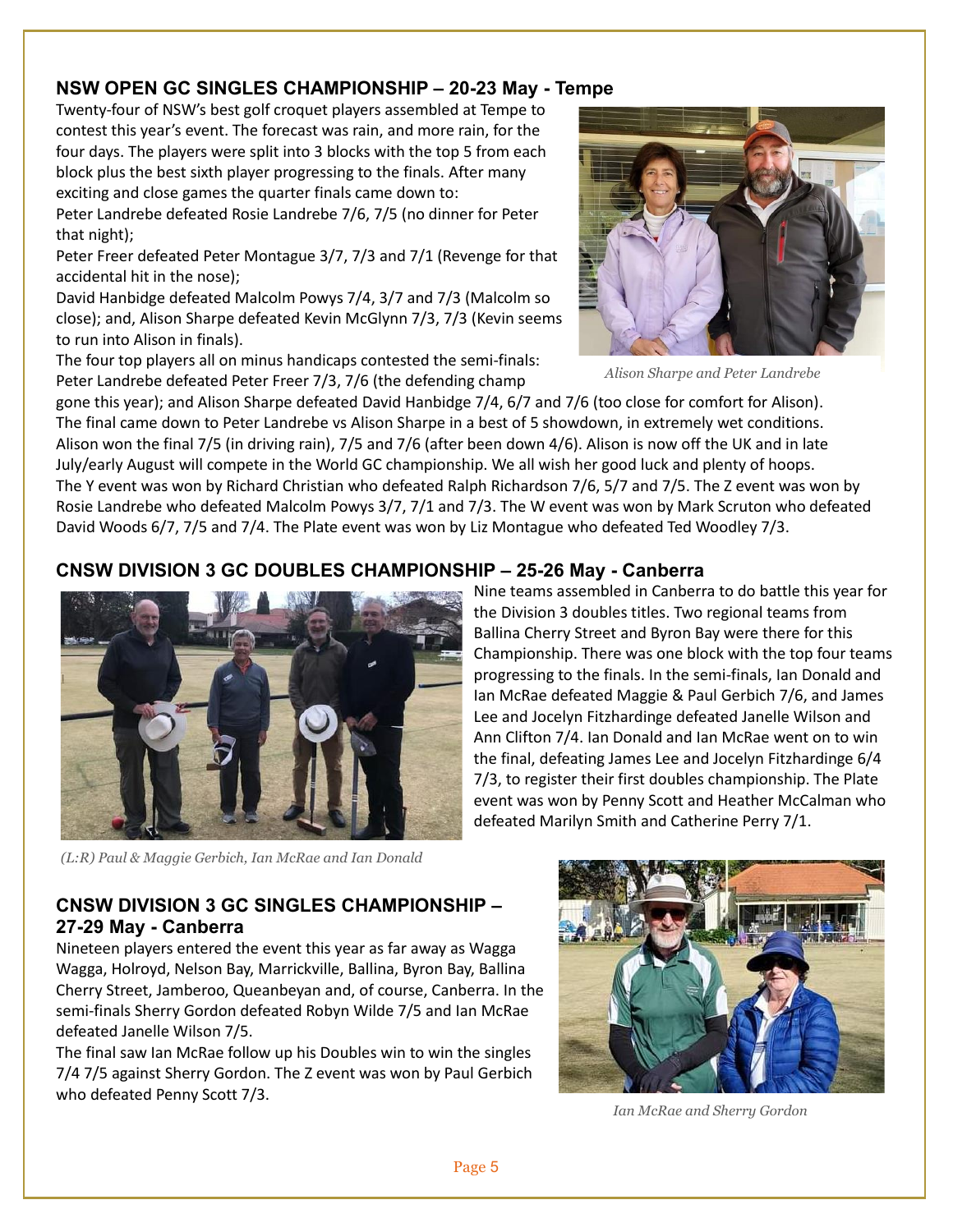#### **NSW OPEN GC SINGLES CHAMPIONSHIP – 20-23 May - Tempe**

Twenty-four of NSW's best golf croquet players assembled at Tempe to contest this year's event. The forecast was rain, and more rain, for the four days. The players were split into 3 blocks with the top 5 from each block plus the best sixth player progressing to the finals. After many exciting and close games the quarter finals came down to:

Peter Landrebe defeated Rosie Landrebe 7/6, 7/5 (no dinner for Peter that night);

Peter Freer defeated Peter Montague 3/7, 7/3 and 7/1 (Revenge for that accidental hit in the nose);

David Hanbidge defeated Malcolm Powys 7/4, 3/7 and 7/3 (Malcolm so close); and, Alison Sharpe defeated Kevin McGlynn 7/3, 7/3 (Kevin seems to run into Alison in finals).

The four top players all on minus handicaps contested the semi-finals: Peter Landrebe defeated Peter Freer 7/3, 7/6 (the defending champ



 *Alison Sharpe and Peter Landrebe*

Nine teams assembled in Canberra to do battle this year for the Division 3 doubles titles. Two regional teams from Ballina Cherry Street and Byron Bay were there for this Championship. There was one block with the top four teams progressing to the finals. In the semi-finals, Ian Donald and Ian McRae defeated Maggie & Paul Gerbich 7/6, and James Lee and Jocelyn Fitzhardinge defeated Janelle Wilson and Ann Clifton 7/4. Ian Donald and Ian McRae went on to win the final, defeating James Lee and Jocelyn Fitzhardinge 6/4 7/3, to register their first doubles championship. The Plate event was won by Penny Scott and Heather McCalman who

defeated Marilyn Smith and Catherine Perry 7/1.

gone this year); and Alison Sharpe defeated David Hanbidge 7/4, 6/7 and 7/6 (too close for comfort for Alison). The final came down to Peter Landrebe vs Alison Sharpe in a best of 5 showdown, in extremely wet conditions. Alison won the final 7/5 (in driving rain), 7/5 and 7/6 (after been down 4/6). Alison is now off the UK and in late July/early August will compete in the World GC championship. We all wish her good luck and plenty of hoops. The Y event was won by Richard Christian who defeated Ralph Richardson 7/6, 5/7 and 7/5. The Z event was won by Rosie Landrebe who defeated Malcolm Powys 3/7, 7/1 and 7/3. The W event was won by Mark Scruton who defeated David Woods 6/7, 7/5 and 7/4. The Plate event was won by Liz Montague who defeated Ted Woodley 7/3.

#### **CNSW DIVISION 3 GC DOUBLES CHAMPIONSHIP – 25-26 May - Canberra**



*(L:R) Paul & Maggie Gerbich, Ian McRae and Ian Donald*

# **CNSW DIVISION 3 GC SINGLES CHAMPIONSHIP – 27-29 May - Canberra**

Nineteen players entered the event this year as far away as Wagga Wagga, Holroyd, Nelson Bay, Marrickville, Ballina, Byron Bay, Ballina Cherry Street, Jamberoo, Queanbeyan and, of course, Canberra. In the semi-finals Sherry Gordon defeated Robyn Wilde 7/5 and Ian McRae defeated Janelle Wilson 7/5.

The final saw Ian McRae follow up his Doubles win to win the singles 7/4 7/5 against Sherry Gordon. The Z event was won by Paul Gerbich who defeated Penny Scott 7/3.



 *Ian McRae and Sherry Gordon*